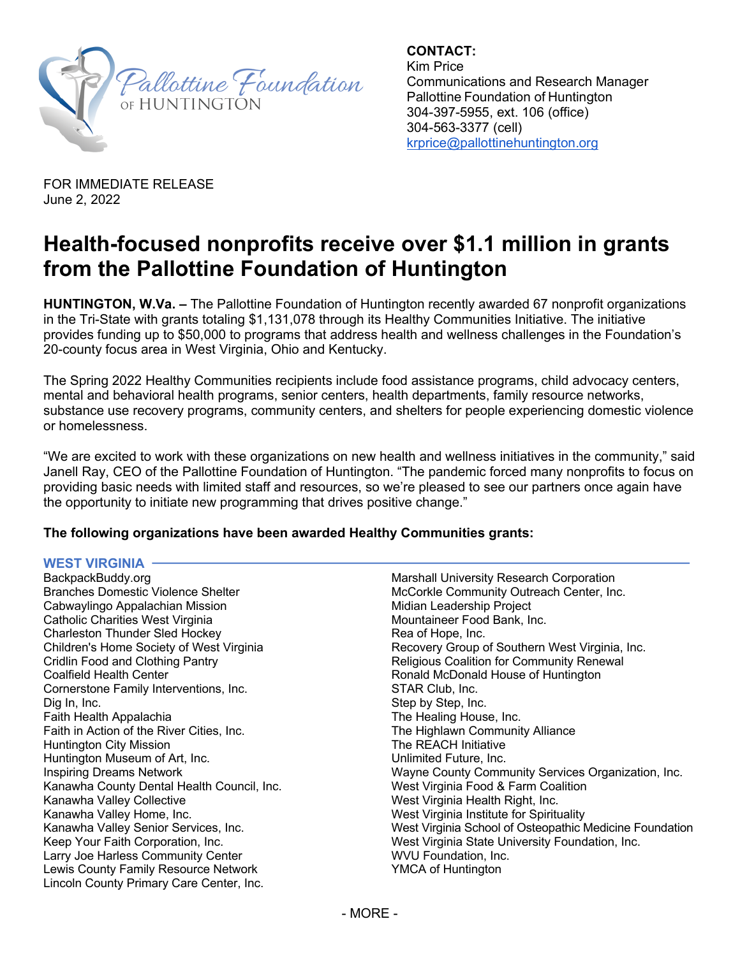

**CONTACT:** Kim Price Communications and Research Manager Pallottine Foundation of Huntington 304-397-5955, ext. 106 (office) 304-563-3377 (cell) krprice@pallottinehuntington.org

FOR IMMEDIATE RELEASE   June 2, 2022

# **Health-focused nonprofits receive over \$1.1 million in grants from the Pallottine Foundation of Huntington**

**HUNTINGTON, W.Va. –** The Pallottine Foundation of Huntington recently awarded 67 nonprofit organizations in the Tri-State with grants totaling \$1,131,078 through its Healthy Communities Initiative. The initiative provides funding up to \$50,000 to programs that address health and wellness challenges in the Foundation's 20-county focus area in West Virginia, Ohio and Kentucky.

The Spring 2022 Healthy Communities recipients include food assistance programs, child advocacy centers, mental and behavioral health programs, senior centers, health departments, family resource networks, substance use recovery programs, community centers, and shelters for people experiencing domestic violence or homelessness.

"We are excited to work with these organizations on new health and wellness initiatives in the community," said Janell Ray, CEO of the Pallottine Foundation of Huntington. "The pandemic forced many nonprofits to focus on providing basic needs with limited staff and resources, so we're pleased to see our partners once again have the opportunity to initiate new programming that drives positive change."

## **The following organizations have been awarded Healthy Communities grants:**

### **WEST VIRGINIA**

BackpackBuddy.org Branches Domestic Violence Shelter Cabwaylingo Appalachian Mission Catholic Charities West Virginia Charleston Thunder Sled Hockey Children's Home Society of West Virginia Cridlin Food and Clothing Pantry Coalfield Health Center Cornerstone Family Interventions, Inc. Dig In, Inc. Faith Health Appalachia Faith in Action of the River Cities, Inc. Huntington City Mission Huntington Museum of Art, Inc. Inspiring Dreams Network Kanawha County Dental Health Council, Inc. Kanawha Valley Collective Kanawha Valley Home, Inc. Kanawha Valley Senior Services, Inc. Keep Your Faith Corporation, Inc. Larry Joe Harless Community Center Lewis County Family Resource Network Lincoln County Primary Care Center, Inc.

Marshall University Research Corporation McCorkle Community Outreach Center, Inc. Midian Leadership Project Mountaineer Food Bank, Inc. Rea of Hope, Inc. Recovery Group of Southern West Virginia, Inc. Religious Coalition for Community Renewal Ronald McDonald House of Huntington STAR Club, Inc. Step by Step, Inc. The Healing House, Inc. The Highlawn Community Alliance The REACH Initiative Unlimited Future, Inc. Wayne County Community Services Organization, Inc. West Virginia Food & Farm Coalition West Virginia Health Right, Inc. West Virginia Institute for Spirituality West Virginia School of Osteopathic Medicine Foundation West Virginia State University Foundation, Inc. WVU Foundation, Inc. YMCA of Huntington